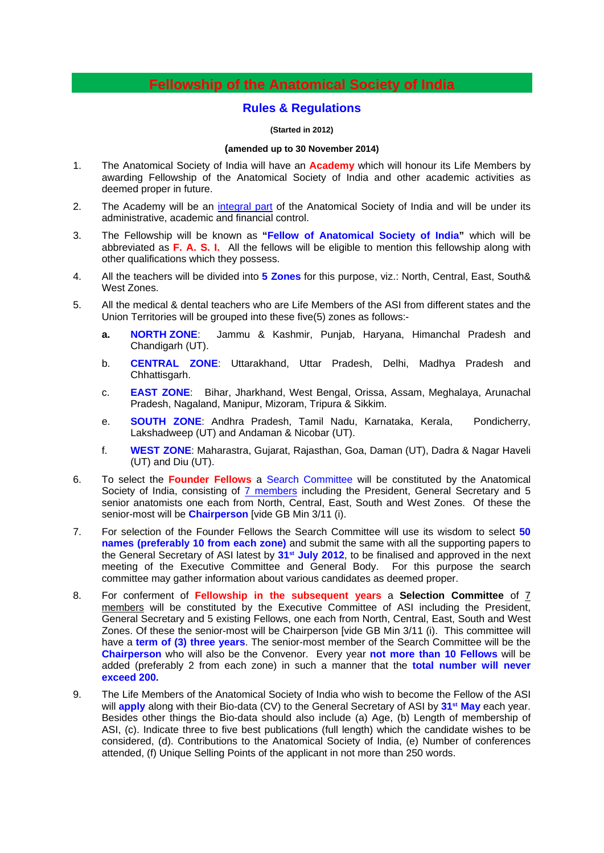### **Fellowship of the Anatomical Society of India**

#### **Rules & Regulations**

#### **(Started in 2012)**

#### **(amended up to 30 November 2014)**

- 1. The Anatomical Society of India will have an **Academy** which will honour its Life Members by awarding Fellowship of the Anatomical Society of India and other academic activities as deemed proper in future.
- 2. The Academy will be an integral part of the Anatomical Society of India and will be under its administrative, academic and financial control.
- 3. The Fellowship will be known as **"Fellow of Anatomical Society of India"** which will be abbreviated as **F. A. S. I.** All the fellows will be eligible to mention this fellowship along with other qualifications which they possess.
- 4. All the teachers will be divided into **5 Zones** for this purpose, viz.: North, Central, East, South& West Zones.
- 5. All the medical & dental teachers who are Life Members of the ASI from different states and the Union Territories will be grouped into these five(5) zones as follows:
	- **a. NORTH ZONE**: Jammu & Kashmir, Punjab, Haryana, Himanchal Pradesh and Chandigarh (UT).
	- b. **CENTRAL ZONE**: Uttarakhand, Uttar Pradesh, Delhi, Madhya Pradesh and Chhattisgarh.
	- c. **EAST ZONE**: Bihar, Jharkhand, West Bengal, Orissa, Assam, Meghalaya, Arunachal Pradesh, Nagaland, Manipur, Mizoram, Tripura & Sikkim.
	- e. **SOUTH ZONE**: Andhra Pradesh, Tamil Nadu, Karnataka, Kerala, Pondicherry, Lakshadweep (UT) and Andaman & Nicobar (UT).
	- f. **WEST ZONE**: Maharastra, Gujarat, Rajasthan, Goa, Daman (UT), Dadra & Nagar Haveli (UT) and Diu (UT).
- 6. To select the **Founder Fellows** a Search Committee will be constituted by the Anatomical Society of India, consisting of 7 members including the President, General Secretary and 5 senior anatomists one each from North, Central, East, South and West Zones. Of these the senior-most will be **Chairperson** [vide GB Min 3/11 (i).
- 7. For selection of the Founder Fellows the Search Committee will use its wisdom to select **50 names (preferably 10 from each zone)** and submit the same with all the supporting papers to the General Secretary of ASI latest by **31st July 2012**, to be finalised and approved in the next meeting of the Executive Committee and General Body. For this purpose the search committee may gather information about various candidates as deemed proper.
- 8. For conferment of **Fellowship in the subsequent years** a **Selection Committee** of 7 members will be constituted by the Executive Committee of ASI including the President, General Secretary and 5 existing Fellows, one each from North, Central, East, South and West Zones. Of these the senior-most will be Chairperson [vide GB Min 3/11 (i). This committee will have a **term of (3) three years**. The senior-most member of the Search Committee will be the **Chairperson** who will also be the Convenor. Every year **not more than 10 Fellows** will be added (preferably 2 from each zone) in such a manner that the **total number will never exceed 200.**
- 9. The Life Members of the Anatomical Society of India who wish to become the Fellow of the ASI will **apply** along with their Bio-data (CV) to the General Secretary of ASI by **31st May** each year. Besides other things the Bio-data should also include (a) Age, (b) Length of membership of ASI, (c). Indicate three to five best publications (full length) which the candidate wishes to be considered, (d). Contributions to the Anatomical Society of India, (e) Number of conferences attended, (f) Unique Selling Points of the applicant in not more than 250 words.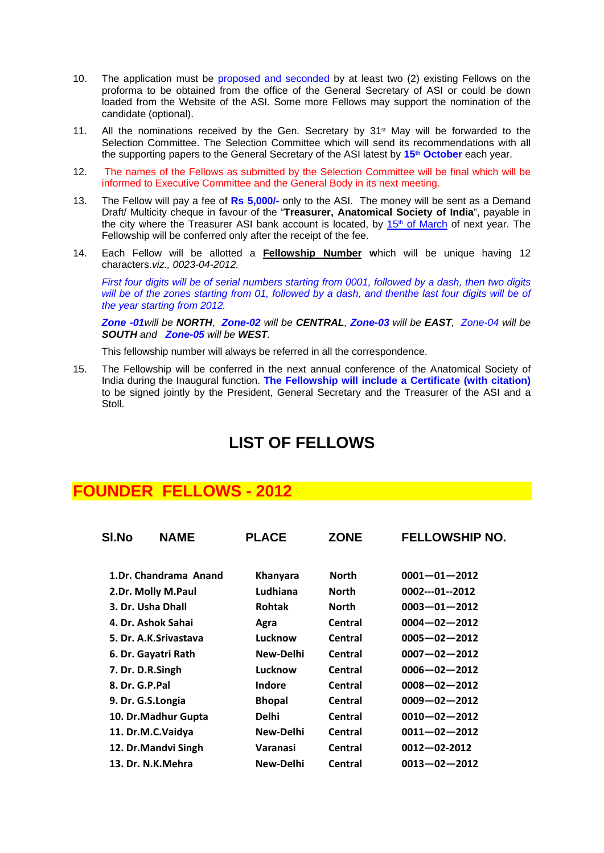- 10. The application must be proposed and seconded by at least two (2) existing Fellows on the proforma to be obtained from the office of the General Secretary of ASI or could be down loaded from the Website of the ASI. Some more Fellows may support the nomination of the candidate (optional).
- 11. All the nominations received by the Gen. Secretary by  $31<sup>st</sup>$  May will be forwarded to the Selection Committee. The Selection Committee which will send its recommendations with all the supporting papers to the General Secretary of the ASI latest by **15th October** each year.
- 12. The names of the Fellows as submitted by the Selection Committee will be final which will be informed to Executive Committee and the General Body in its next meeting.
- 13. The Fellow will pay a fee of **Rs 5,000/-** only to the ASI. The money will be sent as a Demand Draft/ Multicity cheque in favour of the "**Treasurer, Anatomical Society of India**", payable in the city where the Treasurer ASI bank account is located, by  $15<sup>th</sup>$  of March of next year. The Fellowship will be conferred only after the receipt of the fee.
- 14. Each Fellow will be allotted a **Fellowship Number w**hich will be unique having 12 characters.*viz., 0023-04-2012.*

*First four digits will be of serial numbers starting from 0001, followed by a dash, then two digits*  will be of the zones starting from 01, followed by a dash, and thenthe last four digits will be of *the year starting from 2012.* 

*Zone -01will be NORTH, Zone-02 will be CENTRAL, Zone-03 will be EAST, Zone-04 will be SOUTH and Zone-05 will be WEST.* 

This fellowship number will always be referred in all the correspondence.

15. The Fellowship will be conferred in the next annual conference of the Anatomical Society of India during the Inaugural function. **The Fellowship will include a Certificate (with citation)** to be signed jointly by the President, General Secretary and the Treasurer of the ASI and a Stoll.

### **LIST OF FELLOWS**

### **FOUNDER FELLOWS - 2012**

| <b>SI.No</b>   | <b>NAME</b>           | <b>PLACE</b>  | <b>ZONE</b>  | <b>FELLOWSHIP NO.</b> |
|----------------|-----------------------|---------------|--------------|-----------------------|
|                | 1.Dr. Chandrama Anand | Khanyara      | <b>North</b> | $0001 - 01 - 2012$    |
|                | 2.Dr. Molly M.Paul    | Ludhiana      | North        | 0002---01--2012       |
|                | 3. Dr. Usha Dhall     | <b>Rohtak</b> | <b>North</b> | $0003 - 01 - 2012$    |
|                | 4. Dr. Ashok Sahai    | Agra          | Central      | $0004 - 02 - 2012$    |
|                | 5. Dr. A.K.Srivastava | Lucknow       | Central      | $0005 - 02 - 2012$    |
|                | 6. Dr. Gayatri Rath   | New-Delhi     | Central      | $0007 - 02 - 2012$    |
|                | 7. Dr. D.R.Singh      | Lucknow       | Central      | $0006 - 02 - 2012$    |
| 8. Dr. G.P.Pal |                       | Indore        | Central      | $0008 - 02 - 2012$    |
|                | 9. Dr. G.S.Longia     | <b>Bhopal</b> | Central      | $0009 - 02 - 2012$    |
|                | 10. Dr.Madhur Gupta   | <b>Delhi</b>  | Central      | $0010 - 02 - 2012$    |
|                | 11. Dr.M.C.Vaidya     | New-Delhi     | Central      | $0011 - 02 - 2012$    |
|                | 12. Dr.Mandvi Singh   | Varanasi      | Central      | $0012 - 02 - 2012$    |
|                | 13. Dr. N.K.Mehra     | New-Delhi     | Central      | $0013 - 02 - 2012$    |